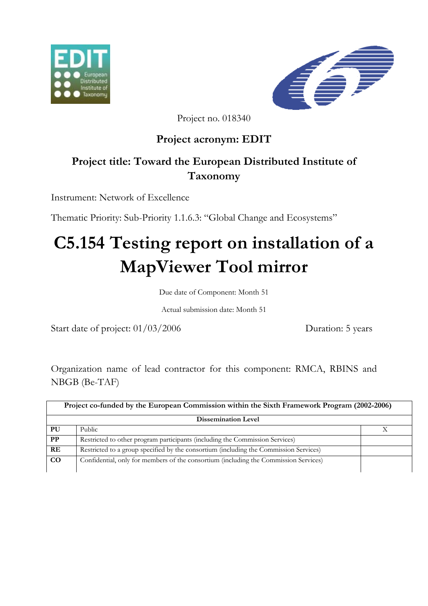



Project no. 018340

# **Project acronym: EDIT**

# **Project title: Toward the European Distributed Institute of Taxonomy**

Instrument: Network of Excellence

Thematic Priority: Sub-Priority 1.1.6.3: "Global Change and Ecosystems"

# **C5.154 Testing report on installation of a MapViewer Tool mirror**

Due date of Component: Month 51

Actual submission date: Month 51

Start date of project:  $01/03/2006$  Duration: 5 years

Organization name of lead contractor for this component: RMCA, RBINS and NBGB (Be-TAF)

| Project co-funded by the European Commission within the Sixth Framework Program (2002-2006) |                                                                                       |  |
|---------------------------------------------------------------------------------------------|---------------------------------------------------------------------------------------|--|
| <b>Dissemination Level</b>                                                                  |                                                                                       |  |
| PU                                                                                          | Public                                                                                |  |
| $\bf PP$                                                                                    | Restricted to other program participants (including the Commission Services)          |  |
| RE                                                                                          | Restricted to a group specified by the consortium (including the Commission Services) |  |
| CO                                                                                          | Confidential, only for members of the consortium (including the Commission Services)  |  |
|                                                                                             |                                                                                       |  |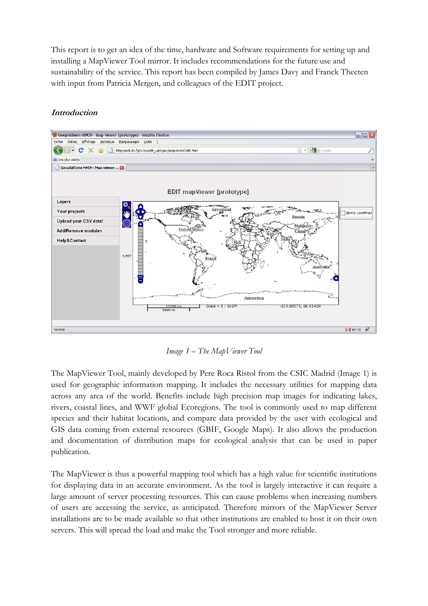This report is to get an idea of the time, hardware and Software requirements for setting up and installing a MapViewer Tool mirror. It includes recommendations for the future use and sustainability of the service. This report has been compiled by James Davy and Franck Theeten with input from Patricia Mergen, and colleagues of the EDIT project.

## **Introduction**



*Image 1 – The MapViewer Tool* 

The MapViewer Tool, mainly developed by Pere Roca Ristol from the CSIC Madrid (Image 1) is used for geographic information mapping. It includes the necessary utilities for mapping data across any area of the world. Benefits include high precision map images for indicating lakes, rivers, coastal lines, and WWF global Ecoregions. The tool is commonly used to map different species and their habitat locations, and compare data provided by the user with ecological and GIS data coming from external resources (GBIF, Google Maps). It also allows the production and documentation of distribution maps for ecological analysis that can be used in paper publication.

The MapViewer is thus a powerful mapping tool which has a high value for scientific institutions for displaying data in an accurate environment. As the tool is largely interactive it can require a large amount of server processing resources. This can cause problems when increasing numbers of users are accessing the service, as anticipated. Therefore mirrors of the MapViewer Server installations are to be made available so that other institutions are enabled to host it on their own servers. This will spread the load and make the Tool stronger and more reliable.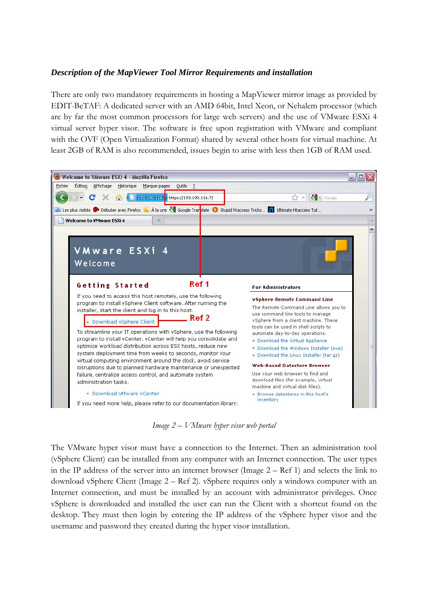## *Description of the MapViewer Tool Mirror Requirements and installation*

There are only two mandatory requirements in hosting a MapViewer mirror image as provided by EDIT-BeTAF: A dedicated server with an AMD 64bit, Intel Xeon, or Nehalem processor (which are by far the most common processors for large web servers) and the use of VMware ESXi 4 virtual server hyper visor. The software is free upon registration with VMware and compliant with the OVF (Open Virtualization Format) shared by several other hosts for virtual machine. At least 2GB of RAM is also recommended, issues begin to arise with less then 1GB of RAM used.



*Image 2 – VMware hyper visor web portal* 

The VMware hyper visor must have a connection to the Internet. Then an administration tool (vSphere Client) can be installed from any computer with an Internet connection. The user types in the IP address of the server into an internet browser (Image 2 – Ref 1) and selects the link to download vSphere Client (Image 2 – Ref 2). vSphere requires only a windows computer with an Internet connection, and must be installed by an account with administrator privileges. Once vSphere is downloaded and installed the user can run the Client with a shortcut found on the desktop. They must then login by entering the IP address of the vSphere hyper visor and the username and password they created during the hyper visor installation.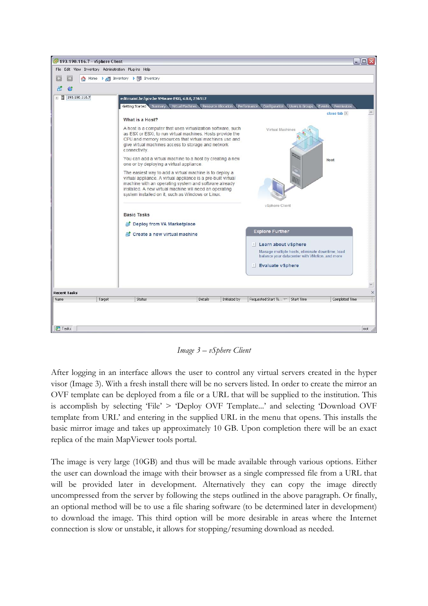

*Image 3 – vSphere Client* 

After logging in an interface allows the user to control any virtual servers created in the hyper visor (Image 3). With a fresh install there will be no servers listed. In order to create the mirror an OVF template can be deployed from a file or a URL that will be supplied to the institution. This is accomplish by selecting 'File' > 'Deploy OVF Template...' and selecting 'Download OVF template from URL' and entering in the supplied URL in the menu that opens. This installs the basic mirror image and takes up approximately 10 GB. Upon completion there will be an exact replica of the main MapViewer tools portal.

The image is very large (10GB) and thus will be made available through various options. Either the user can download the image with their browser as a single compressed file from a URL that will be provided later in development. Alternatively they can copy the image directly uncompressed from the server by following the steps outlined in the above paragraph. Or finally, an optional method will be to use a file sharing software (to be determined later in development) to download the image. This third option will be more desirable in areas where the Internet connection is slow or unstable, it allows for stopping/resuming download as needed.